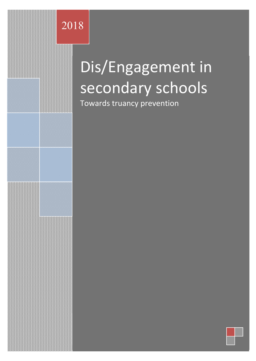## 2018

š

# Dis/Engagement in secondary schools

Towards truancy prevention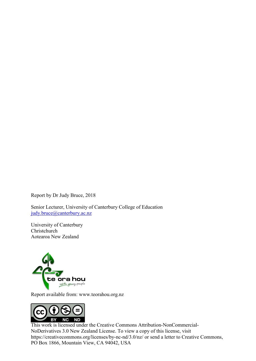Report by Dr Judy Bruce, 2018

Senior Lecturer, University of Canterbury College of Education judy.bruce@canterbury.ac.nz

University of Canterbury Christchurch Aotearoa New Zealand



Report available from: www.teorahou.org.nz



This work is licensed under the Creative Commons Attribution-NonCommercial-NoDerivatives 3.0 New Zealand License. To view a copy of this license, visit https://creativecommons.org/licenses/by-nc-nd/3.0/nz/ or send a letter to Creative Commons, PO Box 1866, Mountain View, CA 94042, USA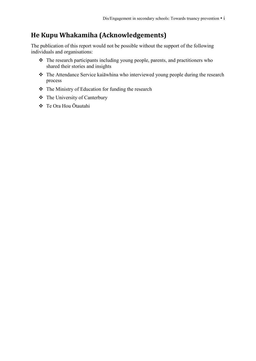## **He Kupu Whakamiha (Acknowledgements)**

The publication of this report would not be possible without the support of the following individuals and organisations:

- \* The research participants including young people, parents, and practitioners who shared their stories and insights
- \* The Attendance Service kaiāwhina who interviewed young people during the research process
- $\triangle$  The Ministry of Education for funding the research
- The University of Canterbury
- Te Ora Hou Ōtautahi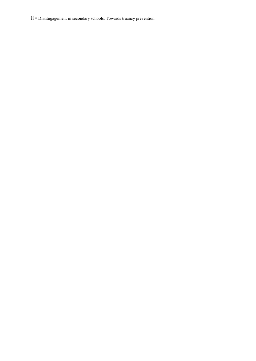ii • Dis/Engagement in secondary schools: Towards truancy prevention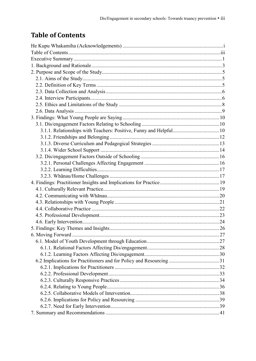## **Table of Contents**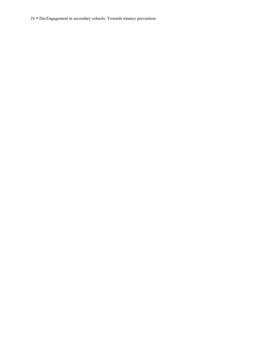iv • Dis/Engagement in secondary schools: Towards truancy prevention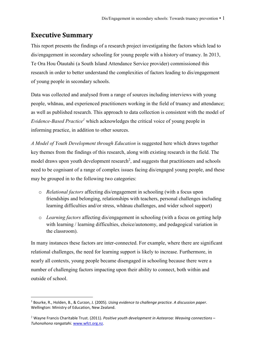## **Executive Summary**

-

This report presents the findings of a research project investigating the factors which lead to dis/engagement in secondary schooling for young people with a history of truancy. In 2013, Te Ora Hou Ōtautahi (a South Island Attendance Service provider) commissioned this research in order to better understand the complexities of factors leading to dis/engagement of young people in secondary schools.

Data was collected and analysed from a range of sources including interviews with young people, whānau, and experienced practitioners working in the field of truancy and attendance; as well as published research. This approach to data collection is consistent with the model of *Evidence-Based Practice<sup>1</sup>* which acknowledges the critical voice of young people in informing practice, in addition to other sources.

*A Model of Youth Development through Education* is suggested here which draws together key themes from the findings of this research, along with existing research in the field. The model draws upon youth development research<sup>2</sup>, and suggests that practitioners and schools need to be cognisant of a range of complex issues facing dis/engaged young people, and these may be grouped in to the following two categories:

- o *Relational factors* affecting dis/engagement in schooling (with a focus upon friendships and belonging, relationships with teachers, personal challenges including learning difficulties and/or stress, whānau challenges, and wider school support)
- o *Learning factors* affecting dis/engagement in schooling (with a focus on getting help with learning / learning difficulties, choice/autonomy, and pedagogical variation in the classroom).

In many instances these factors are inter-connected. For example, where there are significant relational challenges, the need for learning support is likely to increase. Furthermore, in nearly all contexts, young people became disengaged in schooling because there were a number of challenging factors impacting upon their ability to connect, both within and outside of school.

<sup>1</sup> Bourke, R., Holden, B., & Curzon, J. (2005). *Using evidence to challenge practice. A discussion paper*. Wellington: Ministry of Education, New Zealand.

<sup>2</sup> Wayne Francis Charitable Trust. (2011). *Positive youth development in Aotearoa: Weaving connections – Tuhonohono rangatahi.* www.wfct.org.nz.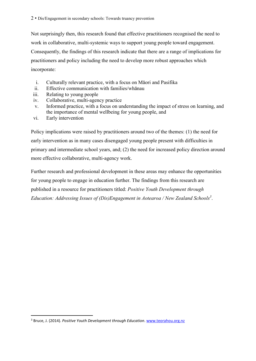Not surprisingly then, this research found that effective practitioners recognised the need to work in collaborative, multi-systemic ways to support young people toward engagement. Consequently, the findings of this research indicate that there are a range of implications for practitioners and policy including the need to develop more robust approaches which incorporate:

- i. Culturally relevant practice, with a focus on Māori and Pasifika
- ii. Effective communication with families/whānau
- iii. Relating to young people
- iv. Collaborative, multi-agency practice
- v. Informed practice, with a focus on understanding the impact of stress on learning, and the importance of mental wellbeing for young people, and
- vi. Early intervention

-

Policy implications were raised by practitioners around two of the themes: (1) the need for early intervention as in many cases disengaged young people present with difficulties in primary and intermediate school years, and; (2) the need for increased policy direction around more effective collaborative, multi-agency work.

Further research and professional development in these areas may enhance the opportunities for young people to engage in education further. The findings from this research are published in a resource for practitioners titled: *Positive Youth Development through Education: Addressing Issues of (Dis)Engagement in Aotearoa / New Zealand Schools<sup>3</sup>* .

<sup>&</sup>lt;sup>3</sup> Bruce, J. (2014). Positive Youth Development through Education. www.teorahou.org.nz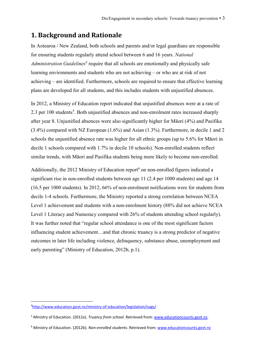## **1. Background and Rationale**

In Aotearoa / New Zealand, both schools and parents and/or legal guardians are responsible for ensuring students regularly attend school between 6 and 16 years. *National*  Administration Guidelines<sup>4</sup> require that all schools are emotionally and physically safe learning environments and students who are not achieving – or who are at risk of not achieving – are identified. Furthermore, schools are required to ensure that effective learning plans are developed for all students, and this includes students with unjustified absences.

In 2012, a Ministry of Education report indicated that unjustified absences were at a rate of 2.3 per 100 students<sup>5</sup>. Both unjustified absences and non-enrolment rates increased sharply after year 8. Unjustified absences were also significantly higher for Māori (4%) and Pasifika (3.4%) compared with NZ European (1.6%) and Asian (1.3%). Furthermore, in decile 1 and 2 schools the unjustified absence rate was higher for all ethnic groups (up to 5.6% for Māori in decile 1 schools compared with 1.7% in decile 10 schools). Non-enrolled students reflect similar trends, with Māori and Pasifika students being more likely to become non-enrolled.

Additionally, the 2012 Ministry of Education report<sup>6</sup> on non-enrolled figures indicated a significant rise in non-enrolled students between age 11 (2.4 per 1000 students) and age 14 (16.5 per 1000 students). In 2012, 66% of non-enrolment notifications were for students from decile 1-4 schools. Furthermore, the Ministry reported a strong correlation between NCEA Level 1 achievement and students with a non-enrolment history (88% did not achieve NCEA Level 1 Literacy and Numeracy compared with 26% of students attending school regularly). It was further noted that "regular school attendance is one of the most significant factors influencing student achievement…and that chronic truancy is a strong predictor of negative outcomes in later life including violence, delinquency, substance abuse, unemployment and early parenting" (Ministry of Education, 2012b, p.1).

-

<sup>4</sup>http://www.education.govt.nz/ministry-of-education/legislation/nags/

<sup>5</sup> Ministry of Education. (2012a). *Truancy from school*. Retrieved from: www.educationcounts.govt.nz.

<sup>&</sup>lt;sup>6</sup> Ministry of Education. (2012b). *Non-enrolled students*. Retrieved from: www.educationcounts.govt.nz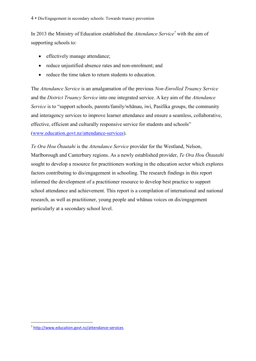In 2013 the Ministry of Education established the *Attendance Service<sup>7</sup>* with the aim of supporting schools to:

- effectively manage attendance;
- reduce unjustified absence rates and non-enrolment; and
- reduce the time taken to return students to education.

The *Attendance Service* is an amalgamation of the previous *Non-Enrolled Truancy Service* and the *District Truancy Service* into one integrated service. A key aim of the *Attendance Service* is to "support schools, parents/family/whānau, iwi, Pasifika groups, the community and interagency services to improve learner attendance and ensure a seamless, collaborative, effective, efficient and culturally responsive service for students and schools" (www.education.govt.nz/attendance-services).

*Te Ora Hou Ōtautahi* is the *Attendance Service* provider for the Westland, Nelson, Marlborough and Canterbury regions. As a newly established provider, *Te Ora Hou Ōtautahi* sought to develop a resource for practitioners working in the education sector which explores factors contributing to dis/engagement in schooling. The research findings in this report informed the development of a practitioner resource to develop best practice to support school attendance and achievement. This report is a compilation of international and national research, as well as practitioner, young people and whānau voices on dis/engagement particularly at a secondary school level.

-

<sup>7</sup> http://www.education.govt.nz/attendance-services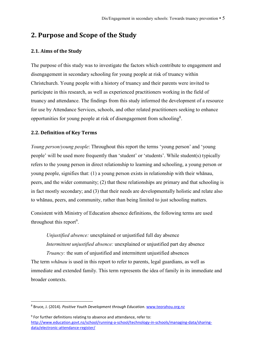## **2. Purpose and Scope of the Study**

#### **2.1. Aims of the Study**

The purpose of this study was to investigate the factors which contribute to engagement and disengagement in secondary schooling for young people at risk of truancy within Christchurch. Young people with a history of truancy and their parents were invited to participate in this research, as well as experienced practitioners working in the field of truancy and attendance. The findings from this study informed the development of a resource for use by Attendance Services, schools, and other related practitioners seeking to enhance opportunities for young people at risk of disengagement from schooling<sup>8</sup>.

#### **2.2. Definition of Key Terms**

-

*Young person/young people*: Throughout this report the terms 'young person' and 'young people' will be used more frequently than 'student' or 'students'. While student(s) typically refers to the young person in direct relationship to learning and schooling, a young person or young people, signifies that: (1) a young person exists in relationship with their whānau, peers, and the wider community; (2) that these relationships are primary and that schooling is in fact mostly secondary; and (3) that their needs are developmentally holistic and relate also to whānau, peers, and community, rather than being limited to just schooling matters.

Consistent with Ministry of Education absence definitions, the following terms are used throughout this report<sup>9</sup>.

*Unjustified absence:* unexplained or unjustified full day absence *Intermittent unjustified absence:* unexplained or unjustified part day absence *Truancy:* the sum of unjustified and intermittent unjustified absences The term *whānau* is used in this report to refer to parents, legal guardians, as well as

immediate and extended family. This term represents the idea of family in its immediate and broader contexts.

<sup>8</sup> Bruce, J. (2014). *Positive Youth Development through Education*. www.teorahou.org.nz

<sup>&</sup>lt;sup>9</sup> For further definitions relating to absence and attendance, refer to: http://www.education.govt.nz/school/running-a-school/technology-in-schools/managing-data/sharingdata/electronic-attendance-register/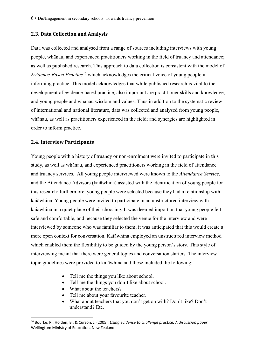#### **2.3. Data Collection and Analysis**

Data was collected and analysed from a range of sources including interviews with young people, whānau, and experienced practitioners working in the field of truancy and attendance; as well as published research. This approach to data collection is consistent with the model of *Evidence-Based Practice<sup>10</sup>* which acknowledges the critical voice of young people in informing practice. This model acknowledges that while published research is vital to the development of evidence-based practice, also important are practitioner skills and knowledge, and young people and whānau wisdom and values. Thus in addition to the systematic review of international and national literature, data was collected and analysed from young people, whānau, as well as practitioners experienced in the field; and synergies are highlighted in order to inform practice.

#### **2.4. Interview Participants**

Young people with a history of truancy or non-enrolment were invited to participate in this study, as well as whānau, and experienced practitioners working in the field of attendance and truancy services. All young people interviewed were known to the *Attendance Service*, and the Attendance Advisors (kaiāwhina) assisted with the identification of young people for this research; furthermore, young people were selected because they had a relationship with kaiāwhina. Young people were invited to participate in an unstructured interview with kaiāwhina in a quiet place of their choosing. It was deemed important that young people felt safe and comfortable, and because they selected the venue for the interview and were interviewed by someone who was familiar to them, it was anticipated that this would create a more open context for conversation. Kaiāwhina employed an unstructured interview method which enabled them the flexibility to be guided by the young person's story. This style of interviewing meant that there were general topics and conversation starters. The interview topic guidelines were provided to kaiāwhina and these included the following:

- Tell me the things you like about school.
- Tell me the things you don't like about school.
- What about the teachers?

<u>.</u>

- Tell me about your favourite teacher.
- What about teachers that you don't get on with? Don't like? Don't understand? Etc.

<sup>10</sup> Bourke, R., Holden, B., & Curzon, J. (2005). *Using evidence to challenge practice. A discussion paper*. Wellington: Ministry of Education, New Zealand.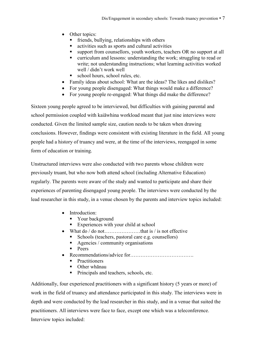- Other topics:
	- friends, bullying, relationships with others
	- activities such as sports and cultural activities
	- support from counsellors, youth workers, teachers OR no support at all
	- curriculum and lessons: understanding the work; struggling to read or write; not understanding instructions; what learning activities worked well / didn't work well
	- school hours, school rules, etc.
- Family ideas about school: What are the ideas? The likes and dislikes?
- For young people disengaged: What things would make a difference?
- For young people re-engaged: What things did make the difference?

Sixteen young people agreed to be interviewed, but difficulties with gaining parental and school permission coupled with kaiāwhina workload meant that just nine interviews were conducted. Given the limited sample size, caution needs to be taken when drawing conclusions. However, findings were consistent with existing literature in the field. All young people had a history of truancy and were, at the time of the interviews, reengaged in some form of education or training.

Unstructured interviews were also conducted with two parents whose children were previously truant, but who now both attend school (including Alternative Education) regularly. The parents were aware of the study and wanted to participate and share their experiences of parenting disengaged young people. The interviews were conducted by the lead researcher in this study, in a venue chosen by the parents and interview topics included:

- Introduction:
	- Your background
	- Experiences with your child at school
- What do / do not…………………that is / is not effective
	- Schools (teachers, pastoral care e.g. counsellors)
	- $\blacksquare$  Agencies / community organisations
	- **Peers**
- Recommendations/advice for……………………………….
	- **Practitioners**
	- Other whānau
	- **Principals and teachers, schools, etc.**

Additionally, four experienced practitioners with a significant history (5 years or more) of work in the field of truancy and attendance participated in this study. The interviews were in depth and were conducted by the lead researcher in this study, and in a venue that suited the practitioners. All interviews were face to face, except one which was a teleconference. Interview topics included: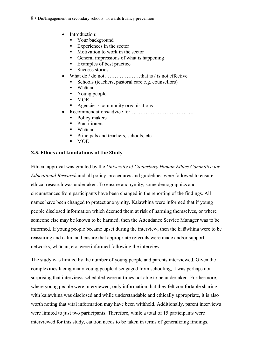- Introduction:
	- Your background
	- Experiences in the sector
	- **Motivation to work in the sector**
	- General impressions of what is happening
	- Examples of best practice
	- Success stories
- What do / do not…………………that is / is not effective
	- Schools (teachers, pastoral care e.g. counsellors)
	- Whānau
	- Voung people
	- · MOE
	- Agencies / community organisations
- Recommendations/advice for……………………………….
	- Policy makers
	- **Practitioners**
	- Whānau
	- Principals and teachers, schools, etc.
	- **MOE**

#### **2.5. Ethics and Limitations of the Study**

Ethical approval was granted by the *University of Canterbury Human Ethics Committee for Educational Research* and all policy, procedures and guidelines were followed to ensure ethical research was undertaken. To ensure anonymity, some demographics and circumstances from participants have been changed in the reporting of the findings. All names have been changed to protect anonymity. Kaiāwhina were informed that if young people disclosed information which deemed them at risk of harming themselves, or where someone else may be known to be harmed, then the Attendance Service Manager was to be informed. If young people became upset during the interview, then the kaiāwhina were to be reassuring and calm, and ensure that appropriate referrals were made and/or support networks, whānau, etc. were informed following the interview.

The study was limited by the number of young people and parents interviewed. Given the complexities facing many young people disengaged from schooling, it was perhaps not surprising that interviews scheduled were at times not able to be undertaken. Furthermore, where young people were interviewed, only information that they felt comfortable sharing with kaiāwhina was disclosed and while understandable and ethically appropriate, it is also worth noting that vital information may have been withheld. Additionally, parent interviews were limited to just two participants. Therefore, while a total of 15 participants were interviewed for this study, caution needs to be taken in terms of generalizing findings.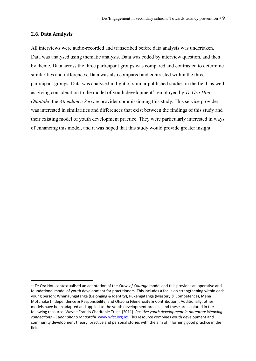#### **2.6. Data Analysis**

<u>.</u>

All interviews were audio-recorded and transcribed before data analysis was undertaken. Data was analysed using thematic analysis. Data was coded by interview question, and then by theme. Data across the three participant groups was compared and contrasted to determine similarities and differences. Data was also compared and contrasted within the three participant groups. Data was analysed in light of similar published studies in the field, as well as giving consideration to the model of youth development<sup>11</sup> employed by *Te Ora Hou Ōtautahi*, the *Attendance Service* provider commissioning this study. This service provider was interested in similarities and differences that exist between the findings of this study and their existing model of youth development practice. They were particularly interested in ways of enhancing this model, and it was hoped that this study would provide greater insight.

<sup>11</sup> Te Ora Hou contextualised an adaptation of the *Circle of Courage* model and this provides an operative and foundational model of youth development for practitioners. This includes a focus on strengthening within each young person: Whanaungatanga (Belonging & Identity), Pukengatanga (Mastery & Competence), Mana Motuhake (Independence & Responsibility) and Ohaoha (Generosity & Contribution). Additionally, other models have been adapted and applied to the youth development practice and these are explored in the following resource: Wayne Francis Charitable Trust. (2011). *Positive youth development in Aotearoa: Weaving connections – Tuhonohono rangatahi.* www.wfct.org.nz. This resource combines youth development and community development theory, practice and personal stories with the aim of informing good practice in the field.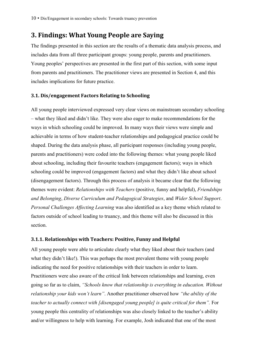### **3. Findings: What Young People are Saying**

The findings presented in this section are the results of a thematic data analysis process, and includes data from all three participant groups: young people, parents and practitioners. Young peoples' perspectives are presented in the first part of this section, with some input from parents and practitioners. The practitioner views are presented in Section 4, and this includes implications for future practice.

#### **3.1. Dis/engagement Factors Relating to Schooling**

All young people interviewed expressed very clear views on mainstream secondary schooling – what they liked and didn't like. They were also eager to make recommendations for the ways in which schooling could be improved. In many ways their views were simple and achievable in terms of how student-teacher relationships and pedagogical practice could be shaped. During the data analysis phase, all participant responses (including young people, parents and practitioners) were coded into the following themes: what young people liked about schooling, including their favourite teachers (engagement factors); ways in which schooling could be improved (engagement factors) and what they didn't like about school (disengagement factors). Through this process of analysis it became clear that the following themes were evident: *Relationships with Teachers* (positive, funny and helpful), *Friendships and Belonging*, *Diverse Curriculum and Pedagogical Strategies*, and *Wider School Support*. *Personal Challenges Affecting Learning* was also identified as a key theme which related to factors outside of school leading to truancy, and this theme will also be discussed in this section.

#### **3.1.1. Relationships with Teachers: Positive, Funny and Helpful**

All young people were able to articulate clearly what they liked about their teachers (and what they didn't like!). This was perhaps the most prevalent theme with young people indicating the need for positive relationships with their teachers in order to learn. Practitioners were also aware of the critical link between relationships and learning, even going so far as to claim, *"Schools know that relationship is everything in education. Without relationship your kids won't learn"*. Another practitioner observed how *"the ability of the teacher to actually connect with [disengaged young people] is quite critical for them".* For young people this centrality of relationships was also closely linked to the teacher's ability and/or willingness to help with learning. For example, Josh indicated that one of the most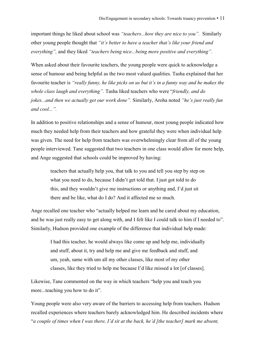important things he liked about school was *"teachers...how they are nice to you".* Similarly other young people thought that *"it's better to have a teacher that's like your friend and everything",* and they liked *"teachers being nice...being more positive and everything".* 

When asked about their favourite teachers, the young people were quick to acknowledge a sense of humour and being helpful as the two most valued qualities. Tasha explained that her favourite teacher is *"really funny, he like picks on us but it's in a funny way and he makes the whole class laugh and everything".* Tasha liked teachers who were "*friendly, and do jokes...and then we actually get our work done".* Similarly, Aroha noted *"he's just really fun and cool...".* 

In addition to positive relationships and a sense of humour, most young people indicated how much they needed help from their teachers and how grateful they were when individual help was given. The need for help from teachers was overwhelmingly clear from all of the young people interviewed. Tane suggested that two teachers in one class would allow for more help, and Ange suggested that schools could be improved by having:

teachers that actually help you, that talk to you and tell you step by step on what you need to do, because I didn't get told that. I just got told to do this, and they wouldn't give me instructions or anything and, I'd just sit there and be like, what do I do? And it affected me so much.

Ange recalled one teacher who "actually helped me learn and he cared about my education, and he was just really easy to get along with, and I felt like I could talk to him if I needed to". Similarly, Hudson provided one example of the difference that individual help made:

> I had this teacher, he would always like come up and help me, individually and stuff, about it, try and help me and give me feedback and stuff, and um, yeah, same with um all my other classes, like most of my other classes, like they tried to help me because I'd like missed a lot [of classes].

Likewise, Tane commented on the way in which teachers "help you and teach you more...teaching you how to do it".

Young people were also very aware of the barriers to accessing help from teachers. Hudson recalled experiences where teachers barely acknowledged him. He described incidents where "*a couple of times when I was there, I'd sit at the back, he'd [the teacher] mark me absent,*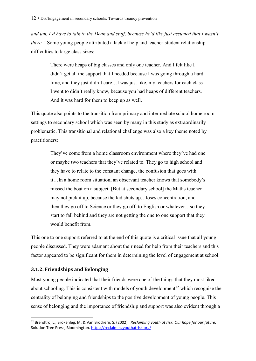*and um, I'd have to talk to the Dean and stuff, because he'd like just assumed that I wasn't there".* Some young people attributed a lack of help and teacher-student relationship difficulties to large class sizes:

> There were heaps of big classes and only one teacher. And I felt like I didn't get all the support that I needed because I was going through a hard time, and they just didn't care…I was just like, my teachers for each class I went to didn't really know, because you had heaps of different teachers. And it was hard for them to keep up as well.

This quote also points to the transition from primary and intermediate school home room settings to secondary school which was seen by many in this study as extraordinarily problematic. This transitional and relational challenge was also a key theme noted by practitioners:

> They've come from a home classroom environment where they've had one or maybe two teachers that they've related to. They go to high school and they have to relate to the constant change, the confusion that goes with it…In a home room situation, an observant teacher knows that somebody's missed the boat on a subject. [But at secondary school] the Maths teacher may not pick it up, because the kid shuts up…loses concentration, and then they go off to Science or they go off to English or whatever…so they start to fall behind and they are not getting the one to one support that they would benefit from.

This one to one support referred to at the end of this quote is a critical issue that all young people discussed. They were adamant about their need for help from their teachers and this factor appeared to be significant for them in determining the level of engagement at school.

#### **3.1.2. Friendships and Belonging**

<u>.</u>

Most young people indicated that their friends were one of the things that they most liked about schooling. This is consistent with models of youth development<sup>12</sup> which recognise the centrality of belonging and friendships to the positive development of young people. This sense of belonging and the importance of friendship and support was also evident through a

<sup>12</sup> Brendtro, L., Brokenleg, M. & Van Brockern, S. (2002). *Reclaiming youth at risk: Our hope for our future.*  Solution Tree Press, Bloomington. https://reclaimingyouthatrisk.org/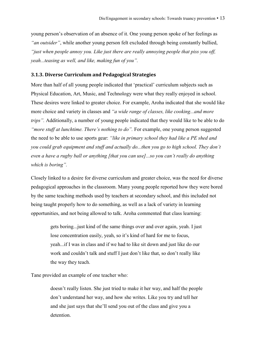young person's observation of an absence of it. One young person spoke of her feelings as *"an outsider"*, while another young person felt excluded through being constantly bullied, *"just when people annoy you. Like just there are really annoying people that piss you off, yeah...teasing as well, and like, making fun of you".*

#### **3.1.3. Diverse Curriculum and Pedagogical Strategies**

More than half of all young people indicated that 'practical' curriculum subjects such as Physical Education, Art, Music, and Technology were what they really enjoyed in school. These desires were linked to greater choice. For example, Aroha indicated that she would like more choice and variety in classes and *"a wide range of classes, like cooking...and more trips".* Additionally, a number of young people indicated that they would like to be able to do *"more stuff at lunchtime. There's nothing to do".* For example, one young person suggested the need to be able to use sports gear: *"like in primary school they had like a PE shed and you could grab equipment and stuff and actually do...then you go to high school. They don't even a have a rugby ball or anything [that you can use]...so you can't really do anything which is boring".* 

Closely linked to a desire for diverse curriculum and greater choice, was the need for diverse pedagogical approaches in the classroom. Many young people reported how they were bored by the same teaching methods used by teachers at secondary school, and this included not being taught properly how to do something, as well as a lack of variety in learning opportunities, and not being allowed to talk. Aroha commented that class learning:

> gets boring...just kind of the same things over and over again, yeah. I just lose concentration easily, yeah, so it's kind of hard for me to focus, yeah...if I was in class and if we had to like sit down and just like do our work and couldn't talk and stuff I just don't like that, so don't really like the way they teach.

Tane provided an example of one teacher who:

doesn't really listen. She just tried to make it her way, and half the people don't understand her way, and how she writes. Like you try and tell her and she just says that she'll send you out of the class and give you a detention.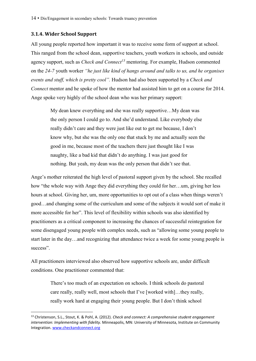#### **3.1.4. Wider School Support**

-

All young people reported how important it was to receive some form of support at school. This ranged from the school dean, supportive teachers, youth workers in schools, and outside agency support, such as *Check and Connect<sup>13</sup>* mentoring. For example, Hudson commented on the *24-7* youth worker *"he just like kind of hangs around and talks to us, and he organises events and stuff, which is pretty cool".* Hudson had also been supported by a *Check and Connect* mentor and he spoke of how the mentor had assisted him to get on a course for 2014. Ange spoke very highly of the school dean who was her primary support:

My dean knew everything and she was really supportive…My dean was the only person I could go to. And she'd understand. Like everybody else really didn't care and they were just like out to get me because, I don't know why, but she was the only one that stuck by me and actually seen the good in me, because most of the teachers there just thought like I was naughty, like a bad kid that didn't do anything. I was just good for nothing. But yeah, my dean was the only person that didn't see that.

Ange's mother reiterated the high level of pastoral support given by the school. She recalled how "the whole way with Ange they did everything they could for her…um, giving her less hours at school. Giving her, um, more opportunities to opt out of a class when things weren't good…and changing some of the curriculum and some of the subjects it would sort of make it more accessible for her". This level of flexibility within schools was also identified by practitioners as a critical component to increasing the chances of successful reintegration for some disengaged young people with complex needs, such as "allowing some young people to start later in the day…and recognizing that attendance twice a week for some young people is success".

All practitioners interviewed also observed how supportive schools are, under difficult conditions. One practitioner commented that:

> There's too much of an expectation on schools. I think schools do pastoral care really, really well, most schools that I've [worked with]…they really, really work hard at engaging their young people. But I don't think school

<sup>13</sup> Christenson, S.L., Stout, K. & Pohl, A. (2012). *Check and connect: A comprehensive student engagement intervention: Implementing with fidelity.* Minneapolis, MN: University of Minnesota, Institute on Community Integration. www.checkandconnect.org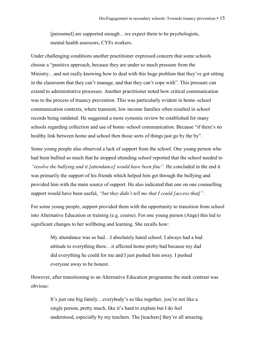[personnel] are supported enough…we expect them to be psychologists, mental health assessors, CYFs workers.

Under challenging conditions another practitioner expressed concern that some schools choose a "punitive approach, because they are under so much pressure from the Ministry…and not really knowing how to deal with this huge problem that they've got sitting in the classroom that they can't manage, and that they can't cope with". This pressure can extend to administrative processes. Another practitioner noted how critical communication was to the process of truancy prevention. This was particularly evident in home–school communication contexts, where transient, low income families often resulted in school records being outdated. He suggested a more systemic review be established for many schools regarding collection and use of home–school communication. Because "if there's no healthy link between home and school then those sorts of things just go by the by".

Some young people also observed a lack of support from the school. One young person who had been bullied so much that he stopped attending school reported that the school needed to *"resolve the bullying and it [attendance] would have been fine". He concluded in the end it* was primarily the support of his friends which helped him get through the bullying and provided him with the main source of support. He also indicated that one on one counselling support would have been useful, *"but they didn't tell me that I could [access that]".* 

For some young people, support provided them with the opportunity to transition from school into Alternative Education or training (e.g. course). For one young person (Ange) this led to significant changes to her wellbeing and learning. She recalls how:

My attendance was so bad…I absolutely hated school. I always had a bad attitude to everything there…it affected home pretty bad because my dad did everything he could for me and I just pushed him away. I pushed everyone away to be honest.

However, after transitioning to an Alternative Education programme the stark contrast was obvious:

> It's just one big family…everybody's so like together, you're not like a single person, pretty much, like it's hard to explain but I do feel understood, especially by my teachers. The [teachers] they're all amazing.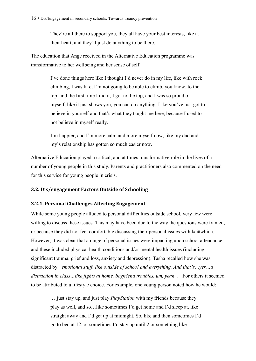They're all there to support you, they all have your best interests, like at their heart, and they'll just do anything to be there.

The education that Ange received in the Alternative Education programme was transformative to her wellbeing and her sense of self:

> I've done things here like I thought I'd never do in my life, like with rock climbing, I was like, I'm not going to be able to climb, you know, to the top, and the first time I did it, I got to the top, and I was so proud of myself, like it just shows you, you can do anything. Like you've just got to believe in yourself and that's what they taught me here, because I used to not believe in myself really.

I'm happier, and I'm more calm and more myself now, like my dad and my's relationship has gotten so much easier now.

Alternative Education played a critical, and at times transformative role in the lives of a number of young people in this study. Parents and practitioners also commented on the need for this service for young people in crisis.

#### **3.2. Dis/engagement Factors Outside of Schooling**

#### **3.2.1. Personal Challenges Affecting Engagement**

While some young people alluded to personal difficulties outside school, very few were willing to discuss these issues. This may have been due to the way the questions were framed, or because they did not feel comfortable discussing their personal issues with kaiāwhina. However, it was clear that a range of personal issues were impacting upon school attendance and these included physical health conditions and/or mental health issues (including significant trauma, grief and loss, anxiety and depression). Tasha recalled how she was distracted by *"emotional stuff, like outside of school and everything. And that's…yer…a*  distraction in class...like fights at home, boyfriend troubles, um, yeah". For others it seemed to be attributed to a lifestyle choice. For example, one young person noted how he would:

> …just stay up, and just play *PlayStation* with my friends because they play as well, and so…like sometimes I'd get home and I'd sleep at, like straight away and I'd get up at midnight. So, like and then sometimes I'd go to bed at 12, or sometimes I'd stay up until 2 or something like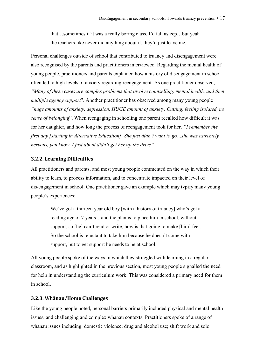that…sometimes if it was a really boring class, I'd fall asleep…but yeah the teachers like never did anything about it, they'd just leave me.

Personal challenges outside of school that contributed to truancy and disengagement were also recognised by the parents and practitioners interviewed. Regarding the mental health of young people, practitioners and parents explained how a history of disengagement in school often led to high levels of anxiety regarding reengagement. As one practitioner observed, *"Many of these cases are complex problems that involve counselling, mental health, and then multiple agency support*". Another practitioner has observed among many young people *"huge amounts of anxiety, depression, HUGE amount of anxiety. Cutting, feeling isolated, no sense of belonging*". When reengaging in schooling one parent recalled how difficult it was for her daughter, and how long the process of reengagement took for her. *"I remember the first day [starting in Alternative Education]. She just didn't want to go…she was extremely nervous, you know, I just about didn't get her up the drive".*

#### **3.2.2. Learning Difficulties**

All practitioners and parents, and most young people commented on the way in which their ability to learn, to process information, and to concentrate impacted on their level of dis/engagement in school. One practitioner gave an example which may typify many young people's experiences:

> We've got a thirteen year old boy [with a history of truancy] who's got a reading age of 7 years…and the plan is to place him in school, without support, so [he] can't read or write, how is that going to make [him] feel. So the school is reluctant to take him because he doesn't come with support, but to get support he needs to be at school.

All young people spoke of the ways in which they struggled with learning in a regular classroom, and as highlighted in the previous section, most young people signalled the need for help in understanding the curriculum work. This was considered a primary need for them in school.

#### **3.2.3. Whānau/Home Challenges**

Like the young people noted, personal barriers primarily included physical and mental health issues, and challenging and complex whānau contexts. Practitioners spoke of a range of whānau issues including: domestic violence; drug and alcohol use; shift work and solo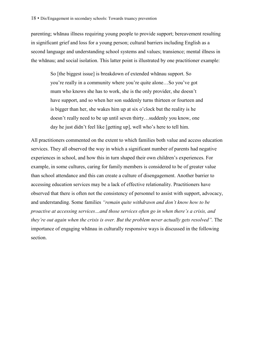parenting; whānau illness requiring young people to provide support; bereavement resulting in significant grief and loss for a young person; cultural barriers including English as a second language and understanding school systems and values; transience; mental illness in the whānau; and social isolation. This latter point is illustrated by one practitioner example:

> So [the biggest issue] is breakdown of extended whānau support. So you're really in a community where you're quite alone…So you've got mum who knows she has to work, she is the only provider, she doesn't have support, and so when her son suddenly turns thirteen or fourteen and is bigger than her, she wakes him up at six o'clock but the reality is he doesn't really need to be up until seven thirty…suddenly you know, one day he just didn't feel like [getting up], well who's here to tell him.

All practitioners commented on the extent to which families both value and access education services. They all observed the way in which a significant number of parents had negative experiences in school, and how this in turn shaped their own children's experiences. For example, in some cultures, caring for family members is considered to be of greater value than school attendance and this can create a culture of disengagement. Another barrier to accessing education services may be a lack of effective relationality. Practitioners have observed that there is often not the consistency of personnel to assist with support, advocacy, and understanding. Some families *"remain quite withdrawn and don't know how to be proactive at accessing services…and those services often go in when there's a crisis, and they're out again when the crisis is over. But the problem never actually gets resolved".* The importance of engaging whānau in culturally responsive ways is discussed in the following section.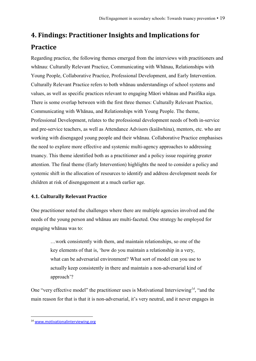## **4. Findings: Practitioner Insights and Implications for Practice**

Regarding practice, the following themes emerged from the interviews with practitioners and whānau: Culturally Relevant Practice, Communicating with Whānau, Relationships with Young People, Collaborative Practice, Professional Development, and Early Intervention. Culturally Relevant Practice refers to both whānau understandings of school systems and values, as well as specific practices relevant to engaging Māori whānau and Pasifika aiga. There is some overlap between with the first three themes: Culturally Relevant Practice, Communicating with Whānau, and Relationships with Young People. The theme, Professional Development, relates to the professional development needs of both in-service and pre-service teachers, as well as Attendance Advisors (kaiāwhina), mentors, etc. who are working with disengaged young people and their whānau. Collaborative Practice emphasises the need to explore more effective and systemic multi-agency approaches to addressing truancy. This theme identified both as a practitioner and a policy issue requiring greater attention. The final theme (Early Intervention) highlights the need to consider a policy and systemic shift in the allocation of resources to identify and address development needs for children at risk of disengagement at a much earlier age.

#### **4.1. Culturally Relevant Practice**

One practitioner noted the challenges where there are multiple agencies involved and the needs of the young person and whānau are multi-faceted. One strategy he employed for engaging whānau was to:

> …work consistently with them, and maintain relationships, so one of the key elements of that is, 'how do you maintain a relationship in a very, what can be adversarial environment? What sort of model can you use to actually keep consistently in there and maintain a non-adversarial kind of approach'?

One "very effective model" the practitioner uses is Motivational Interviewing*<sup>14</sup>*, "and the main reason for that is that it is non-adversarial, it's very neutral, and it never engages in

-

<sup>14</sup> www.motivationalinterviewing.org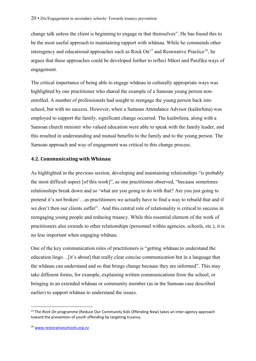change talk unless the client is beginning to engage in that themselves". He has found this to be the most useful approach to maintaining rapport with whānau. While he commends other interagency and educational approaches such as Rock On*<sup>15</sup>* and Restorative Practice*<sup>16</sup>*, he argues that these approaches could be developed further to reflect Māori and Pasifika ways of engagement.

The critical importance of being able to engage whānau in culturally appropriate ways was highlighted by one practitioner who shared the example of a Samoan young person nonenrolled. A number of professionals had sought to reengage the young person back into school, but with no success. However, when a Samoan Attendance Advisor (kaiāwhina) was employed to support the family, significant change occurred. The kaiāwhina, along with a Samoan church minister who valued education were able to speak with the family leader, and this resulted in understanding and mutual benefits to the family and to the young person. The Samoan approach and way of engagement was critical to this change process.

#### **4.2. Communicating with Whānau**

As highlighted in the previous section, developing and maintaining relationships "is probably the most difficult aspect [of this work]", as one practitioner observed, "because sometimes relationships break down and so 'what are you going to do with that? Are you just going to pretend it's not broken'…as practitioners we actually have to find a way to rebuild that and if we don't then our clients suffer". And this central role of relationality is critical to success in reengaging young people and reducing truancy. While this essential element of the work of practitioners also extends to other relationships (personnel within agencies, schools, etc.), it is no less important when engaging whānau.

One of the key communication roles of practitioners is "getting whānau to understand the education lingo…[it's about] that really clear concise communication but in a language that the whānau can understand and so that brings change because they are informed". This may take different forms, for example, explaining written communications from the school, or bringing in an extended whānau or community member (as in the Samoan case described earlier) to support whānau to understand the issues.

-

<sup>15</sup> The *Rock On* programme (Reduce Our Community Kids Offending Now) takes an inter-agency approach toward the prevention of youth offending by targeting truancy.

<sup>16</sup> www.restorativeschools.org.nz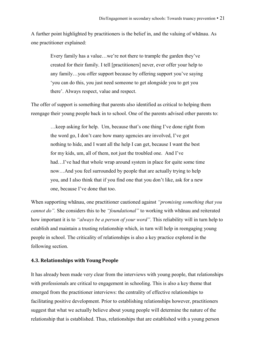A further point highlighted by practitioners is the belief in, and the valuing of whānau. As one practitioner explained:

> Every family has a value…we're not there to trample the garden they've created for their family. I tell [practitioners] never, ever offer your help to any family…you offer support because by offering support you've saying 'you can do this, you just need someone to get alongside you to get you there'. Always respect, value and respect.

The offer of support is something that parents also identified as critical to helping them reengage their young people back in to school. One of the parents advised other parents to:

> …keep asking for help. Um, because that's one thing I've done right from the word go, I don't care how many agencies are involved, I've got nothing to hide, and I want all the help I can get, because I want the best for my kids, um, all of them, not just the troubled one. And I've had…I've had that whole wrap around system in place for quite some time now…And you feel surrounded by people that are actually trying to help you, and I also think that if you find one that you don't like, ask for a new one, because I've done that too.

When supporting whānau, one practitioner cautioned against *"promising something that you cannot do".* She considers this to be *"foundational"* to working with whānau and reiterated how important it is to *"always be a person of your word"*. This reliability will in turn help to establish and maintain a trusting relationship which, in turn will help in reengaging young people in school. The criticality of relationships is also a key practice explored in the following section.

#### **4.3. Relationships with Young People**

It has already been made very clear from the interviews with young people, that relationships with professionals are critical to engagement in schooling. This is also a key theme that emerged from the practitioner interviews: the centrality of effective relationships to facilitating positive development. Prior to establishing relationships however, practitioners suggest that what we actually believe about young people will determine the nature of the relationship that is established. Thus, relationships that are established with a young person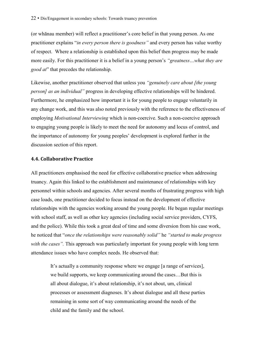(or whānau member) will reflect a practitioner's core belief in that young person. As one practitioner explains "*in every person there is goodness"* and every person has value worthy of respect. Where a relationship is established upon this belief then progress may be made more easily. For this practitioner it is a belief in a young person's *"greatness…what they are good at*" that precedes the relationship.

Likewise, another practitioner observed that unless you *"genuinely care about [the young person] as an individual"* progress in developing effective relationships will be hindered. Furthermore, he emphasized how important it is for young people to engage voluntarily in any change work, and this was also noted previously with the reference to the effectiveness of employing *Motivational Interviewing* which is non-coercive. Such a non-coercive approach to engaging young people is likely to meet the need for autonomy and locus of control, and the importance of autonomy for young peoples' development is explored further in the discussion section of this report.

#### **4.4. Collaborative Practice**

All practitioners emphasised the need for effective collaborative practice when addressing truancy. Again this linked to the establishment and maintenance of relationships with key personnel within schools and agencies. After several months of frustrating progress with high case loads, one practitioner decided to focus instead on the development of effective relationships with the agencies working around the young people. He began regular meetings with school staff, as well as other key agencies (including social service providers, CYFS, and the police). While this took a great deal of time and some diversion from his case work, he noticed that "*once the relationships were reasonably solid"* he *"started to make progress with the cases".* This approach was particularly important for young people with long term attendance issues who have complex needs. He observed that:

> It's actually a community response where we engage [a range of services], we build supports, we keep communicating around the cases…But this is all about dialogue, it's about relationship, it's not about, um, clinical processes or assessment diagnoses. It's about dialogue and all these parties remaining in some sort of way communicating around the needs of the child and the family and the school.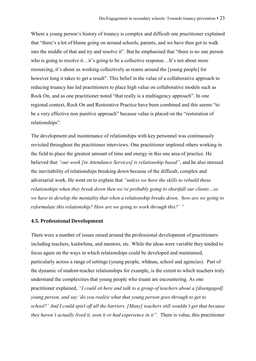Where a young person's history of truancy is complex and difficult one practitioner explained that "there's a lot of blame going on around schools, parents, and we have then got to walk into the middle of that and try and resolve it". But he emphasised that "there is no one person who is going to resolve it…it's going to be a collective response…It's not about more resourcing, it's about us working collectively as teams around the [young people] for however long it takes to get a result". This belief in the value of a collaborative approach to reducing truancy has led practitioners to place high value on collaborative models such as Rock On, and as one practitioner noted "that really is a multiagency approach". In one regional context, Rock On and Restorative Practice have been combined and this seems "to be a very effective non punitive approach" because value is placed on the "restoration of relationships".

The development and maintenance of relationships with key personnel was continuously revisited throughout the practitioner interviews. One practitioner implored others working in the field to place the greatest amount of time and energy in this one area of practice. He believed that *"our work [in Attendance Services] is relationship based"*, and he also stressed the inevitability of relationships breaking down because of the difficult, complex and adversarial work. He went on to explain that *"unless we have the skills to rebuild those relationships when they break down then we're probably going to shortfall our clients…so we have to develop the mentality that when a relationship breaks down, 'how are we going to reformulate this relationship? How are we going to work through this?' "* 

#### **4.5. Professional Development**

There were a number of issues raised around the professional development of practitioners including teachers, kaiāwhina, and mentors, etc. While the ideas were variable they tended to focus again on the ways in which relationships could be developed and maintained, particularly across a range of settings (young people, whānau, school and agencies). Part of the dynamic of student-teacher relationships for example, is the extent to which teachers truly understand the complexities that young people who truant are encountering. As one practitioner explained, *"I could sit here and talk to a group of teachers about a [disengaged] young person, and say 'do you realize what that young person goes through to get to school?' And I could spiel off all the barriers. [Many] teachers still wouldn't get that because they haven't actually lived it, seen it or had experience in it".* There is value, this practitioner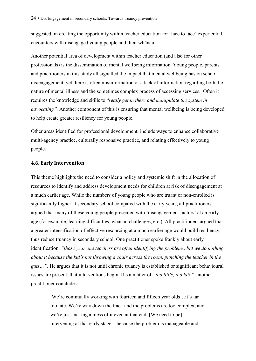suggested, in creating the opportunity within teacher education for 'face to face' experiential encounters with disengaged young people and their whānau.

Another potential area of development within teacher education (and also for other professionals) is the dissemination of mental wellbeing information. Young people, parents and practitioners in this study all signalled the impact that mental wellbeing has on school dis/engagement, yet there is often misinformation or a lack of information regarding both the nature of mental illness and the sometimes complex process of accessing services. Often it requires the knowledge and skills to "*really get in there and manipulate the system in advocating".* Another component of this is ensuring that mental wellbeing is being developed to help create greater resiliency for young people.

Other areas identified for professional development, include ways to enhance collaborative multi-agency practice, culturally responsive practice, and relating effectively to young people.

#### **4.6. Early Intervention**

This theme highlights the need to consider a policy and systemic shift in the allocation of resources to identify and address development needs for children at risk of disengagement at a much earlier age. While the numbers of young people who are truant or non-enrolled is significantly higher at secondary school compared with the early years, all practitioners argued that many of these young people presented with 'disengagement factors' at an early age (for example, learning difficulties, whānau challenges, etc.). All practitioners argued that a greater intensification of effective resourcing at a much earlier age would build resiliency, thus reduce truancy in secondary school. One practitioner spoke frankly about early identification, *"those year one teachers are often identifying the problems, but we do nothing about it because the kid's not throwing a chair across the room, punching the teacher in the guts…"*. He argues that it is not until chronic truancy is established or significant behavioural issues are present, that interventions begin. It's a matter of *"too little, too late"*, another practitioner concludes:

> We're continually working with fourteen and fifteen year olds…it's far too late. We're way down the track and the problems are too complex, and we're just making a mess of it even at that end. [We need to be] intervening at that early stage…because the problem is manageable and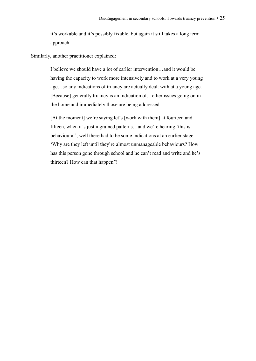it's workable and it's possibly fixable, but again it still takes a long term approach.

Similarly, another practitioner explained:

I believe we should have a lot of earlier intervention…and it would be having the capacity to work more intensively and to work at a very young age…so any indications of truancy are actually dealt with at a young age. [Because] generally truancy is an indication of...other issues going on in the home and immediately those are being addressed.

[At the moment] we're saying let's [work with them] at fourteen and fifteen, when it's just ingrained patterns…and we're hearing 'this is behavioural', well there had to be some indications at an earlier stage. 'Why are they left until they're almost unmanageable behaviours? How has this person gone through school and he can't read and write and he's thirteen? How can that happen'?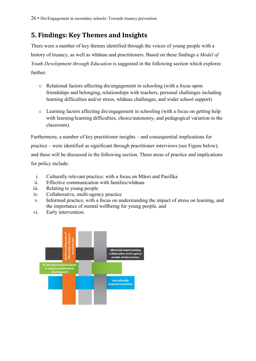## **5. Findings: Key Themes and Insights**

There were a number of key themes identified through the voices of young people with a history of truancy, as well as whānau and practitioners. Based on these findings a *Model of Youth Development through Education* is suggested in the following section which explores further:

- o Relational factors affecting dis/engagement in schooling (with a focus upon friendships and belonging, relationships with teachers, personal challenges including learning difficulties and/or stress, whānau challenges, and wider school support)
- o Learning factors affecting dis/engagement in schooling (with a focus on getting help with learning/learning difficulties, choice/autonomy, and pedagogical variation in the classroom).

Furthermore, a number of key practitioner insights – and consequential implications for practice – were identified as significant through practitioner interviews (see Figure below), and these will be discussed in the following section. These areas of practice and implications for policy include:

- i. Culturally relevant practice: with a focus on Māori and Pasifika
- ii. Effective communication with families/whānau
- iii. Relating to young people
- iv. Collaborative, multi-agency practice
- v. Informed practice, with a focus on understanding the impact of stress on learning, and the importance of mental wellbeing for young people, and
- vi. Early intervention.

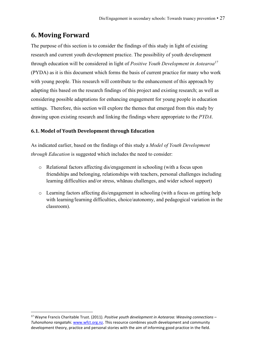## **6. Moving Forward**

-

The purpose of this section is to consider the findings of this study in light of existing research and current youth development practice. The possibility of youth development through education will be considered in light of *Positive Youth Development in Aotearoa<sup>17</sup>* (PYDA) as it is this document which forms the basis of current practice for many who work with young people. This research will contribute to the enhancement of this approach by adapting this based on the research findings of this project and existing research; as well as considering possible adaptations for enhancing engagement for young people in education settings. Therefore, this section will explore the themes that emerged from this study by drawing upon existing research and linking the findings where appropriate to the *PYDA*.

#### **6.1. Model of Youth Development through Education**

As indicated earlier, based on the findings of this study a *Model of Youth Development through Education* is suggested which includes the need to consider:

- o Relational factors affecting dis/engagement in schooling (with a focus upon friendships and belonging, relationships with teachers, personal challenges including learning difficulties and/or stress, whānau challenges, and wider school support)
- $\circ$  Learning factors affecting dis/engagement in schooling (with a focus on getting help with learning/learning difficulties, choice/autonomy, and pedagogical variation in the classroom).

<sup>17</sup> Wayne Francis Charitable Trust. (2011). *Positive youth development in Aotearoa: Weaving connections – Tuhonohono rangatahi.* www.wfct.org.nz. This resource combines youth development and community development theory, practice and personal stories with the aim of informing good practice in the field.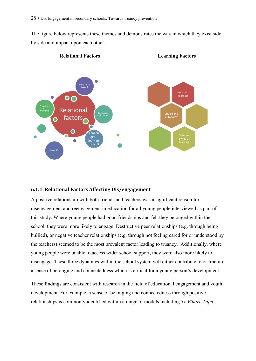The figure below represents these themes and demonstrates the way in which they exist side by side and impact upon each other.



#### **Relational Factors Learning Factors**

#### **6.1.1. Relational Factors Affecting Dis/engagement**

A positive relationship with both friends and teachers was a significant reason for disengagement and reengagement in education for all young people interviewed as part of this study. Where young people had good friendships and felt they belonged within the school, they were more likely to engage. Destructive peer relationships (e.g. through being bullied), or negative teacher relationships (e.g. through not feeling cared for or understood by the teachers) seemed to be the most prevalent factor leading to truancy. Additionally, where young people were unable to access wider school support, they were also more likely to disengage. These three dynamics within the school system will either contribute to or fracture a sense of belonging and connectedness which is critical for a young person's development.

These findings are consistent with research in the field of educational engagement and youth development. For example, a sense of belonging and connectedness through positive relationships is commonly identified within a range of models including *Te Whare Tapa*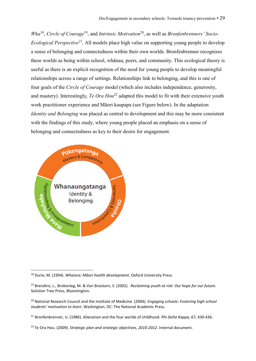*Wha*<sup>18</sup>, *Circle of Courage*<sup>19</sup>, and *Intrinsic Motivation*<sup>20</sup>, as well as *Bronfenbrenners' Socio-Ecological Perspective<sup>21</sup>*. All models place high value on supporting young people to develop a sense of belonging and connectedness within their own worlds. Bronfenbrenner recognises these worlds as being within school, whānau, peers, and community. This ecological theory is useful as there is an explicit recognition of the need for young people to develop meaningful relationships across a range of settings. Relationships link to belonging, and this is one of four goals of the *Circle of Courage* model (which also includes independence, generosity, and mastery). Interestingly, *Te Ora Hou*<sup>22</sup> adapted this model to fit with their extensive youth work practitioner experience and Māori kaupapa (see Figure below). In the adaptation *Identity and Belonging* was placed as central to development and this may be more consistent with the findings of this study, where young people placed an emphasis on a sense of belonging and connectedness as key to their desire for engagement.



<sup>-</sup><sup>18</sup> Durie, M. (1994). *Whaiora: Māori health development*. Oxford University Press.

<sup>19</sup> Brendtro, L., Brokenleg, M. & Van Brockern, S. (2002). *Reclaiming youth at risk: Our hope for our future.*  Solution Tree Press, Bloomington.

<sup>20</sup> National Research Council and the Institute of Medicine. (2004). *Engaging schools: Fostering high school students' motivation to learn*. Washington, DC: The National Academic Press.

<sup>21</sup> Bronfenbrenner, U. (1986). Alienation and the four worlds of childhood. *Phi Delta Kappa, 67*, 430-436.

<sup>22</sup> Te Ora Hou. (2009). *Strategic plan and strategic objectives, 2010-2012*. Internal document.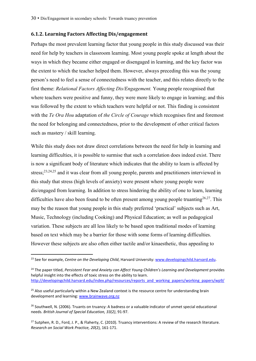#### **6.1.2. Learning Factors Affecting Dis/engagement**

Perhaps the most prevalent learning factor that young people in this study discussed was their need for help by teachers in classroom learning. Most young people spoke at length about the ways in which they became either engaged or disengaged in learning, and the key factor was the extent to which the teacher helped them. However, always preceding this was the young person's need to feel a sense of connectedness with the teacher, and this relates directly to the first theme: *Relational Factors Affecting Dis/Engagement.* Young people recognised that where teachers were positive and funny, they were more likely to engage in learning; and this was followed by the extent to which teachers were helpful or not. This finding is consistent with the *Te Ora Hou* adaptation of *the Circle of Courage* which recognises first and foremost the need for belonging and connectedness, prior to the development of other critical factors such as mastery / skill learning.

While this study does not draw direct correlations between the need for help in learning and learning difficulties, it is possible to surmise that such a correlation does indeed exist. There is now a significant body of literature which indicates that the ability to learn is affected by stress;<sup>23,24,25</sup> and it was clear from all young people, parents and practitioners interviewed in this study that stress (high levels of anxiety) were present where young people were dis/engaged from learning. In addition to stress hindering the ability of one to learn, learning difficulties have also been found to be often present among young people truanting<sup>26,27</sup>. This may be the reason that young people in this study preferred 'practical' subjects such as Art, Music, Technology (including Cooking) and Physical Education; as well as pedagogical variation. These subjects are all less likely to be based upon traditional modes of learning based on text which may be a barrier for those with some forms of learning difficulties. However these subjects are also often either tactile and/or kinaesthetic, thus appealing to

<u>.</u>

<sup>24</sup> The paper titled, *Persistent Fear and Anxiety can Affect Young Children's Learning and Development provides* helpful insight into the effects of toxic stress on the ability to learn. http://developingchild.harvard.edu/index.php/resources/reports\_and\_working\_papers/working\_papers/wp9/

<sup>&</sup>lt;sup>23</sup> See for example, *Centre on the Developing Child*, Harvard University: www.developingchild.harvard.edu.

<sup>&</sup>lt;sup>25</sup> Also useful particularly within a New Zealand context is the resource centre for understanding brain development and learning: www.brainwave.org.nz

<sup>&</sup>lt;sup>26</sup> Southwell, N. (2006). Truants on truancy: A badness or a valuable indicator of unmet special educational needs. *British Journal of Special Education, 33(2)*, 91-97.

<sup>&</sup>lt;sup>27</sup> Sutphen, R. D., Ford, J. P., & Flaherty, C. (2010). Truancy interventions: A review of the research literature. *Research on Social Work Practice, 20*(2), 161-171.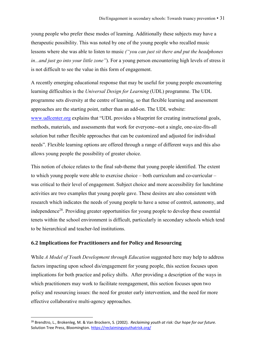young people who prefer these modes of learning. Additionally these subjects may have a therapeutic possibility. This was noted by one of the young people who recalled music lessons where she was able to listen to music *("you can just sit there and put the headphones in...and just go into your little zone"*). For a young person encountering high levels of stress it is not difficult to see the value in this form of engagement.

A recently emerging educational response that may be useful for young people encountering learning difficulties is the *Universal Design for Learning* (UDL) programme. The UDL programme sets diversity at the centre of learning, so that flexible learning and assessment approaches are the starting point, rather than an add-on. The UDL website: www.udlcenter.org explains that "UDL provides a blueprint for creating instructional goals, methods, materials, and assessments that work for everyone--not a single, one-size-fits-all solution but rather flexible approaches that can be customized and adjusted for individual needs". Flexible learning options are offered through a range of different ways and this also allows young people the possibility of greater choice.

This notion of choice relates to the final sub-theme that young people identified. The extent to which young people were able to exercise choice – both curriculum and co-curricular – was critical to their level of engagement. Subject choice and more accessibility for lunchtime activities are two examples that young people gave. These desires are also consistent with research which indicates the needs of young people to have a sense of control, autonomy, and independence<sup>28</sup>. Providing greater opportunities for young people to develop these essential tenets within the school environment is difficult, particularly in secondary schools which tend to be hierarchical and teacher-led institutions.

#### **6.2 Implications for Practitioners and for Policy and Resourcing**

<u>.</u>

While *A Model of Youth Development through Education* suggested here may help to address factors impacting upon school dis/engagement for young people, this section focuses upon implications for both practice and policy shifts. After providing a description of the ways in which practitioners may work to facilitate reengagement, this section focuses upon two policy and resourcing issues: the need for greater early intervention, and the need for more effective collaborative multi-agency approaches.

<sup>28</sup> Brendtro, L., Brokenleg, M. & Van Brockern, S. (2002). *Reclaiming youth at risk: Our hope for our future.*  Solution Tree Press, Bloomington. https://reclaimingyouthatrisk.org/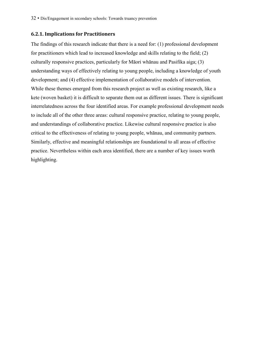#### **6.2.1. Implications for Practitioners**

The findings of this research indicate that there is a need for: (1) professional development for practitioners which lead to increased knowledge and skills relating to the field; (2) culturally responsive practices, particularly for Māori whānau and Pasifika aiga; (3) understanding ways of effectively relating to young people, including a knowledge of youth development; and (4) effective implementation of collaborative models of intervention. While these themes emerged from this research project as well as existing research, like a kete (woven basket) it is difficult to separate them out as different issues. There is significant interrelatedness across the four identified areas. For example professional development needs to include all of the other three areas: cultural responsive practice, relating to young people, and understandings of collaborative practice. Likewise cultural responsive practice is also critical to the effectiveness of relating to young people, whānau, and community partners. Similarly, effective and meaningful relationships are foundational to all areas of effective practice. Nevertheless within each area identified, there are a number of key issues worth highlighting.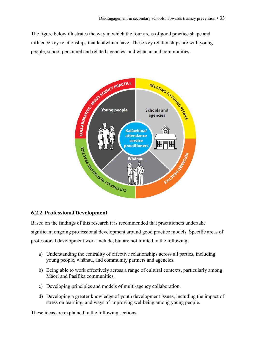The figure below illustrates the way in which the four areas of good practice shape and influence key relationships that kaiāwhina have. These key relationships are with young people, school personnel and related agencies, and whānau and communities.



#### **6.2.2. Professional Development**

Based on the findings of this research it is recommended that practitioners undertake significant ongoing professional development around good practice models. Specific areas of professional development work include, but are not limited to the following:

- a) Understanding the centrality of effective relationships across all parties, including young people, whānau, and community partners and agencies.
- b) Being able to work effectively across a range of cultural contexts, particularly among Māori and Pasifika communities.
- c) Developing principles and models of multi-agency collaboration.
- d) Developing a greater knowledge of youth development issues, including the impact of stress on learning, and ways of improving wellbeing among young people.

These ideas are explained in the following sections.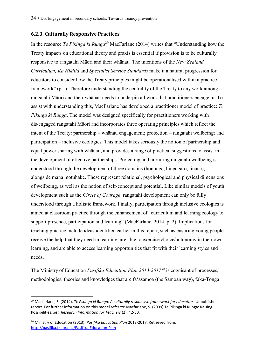#### **6.2.3. Culturally Responsive Practices**

In the resource *Te Pikinga ki Runga*<sup>29</sup> MacFarlane (2014) writes that "Understanding how the Treaty impacts on educational theory and praxis is essential if provision is to be culturally responsive to rangatahi Māori and their whānau. The intentions of the *New Zealand Curriculum, Ka Hikitia* and *Specialist Service Standards* make it a natural progression for educators to consider how the Treaty principles might be operationalised within a practice framework" (p.1). Therefore understanding the centrality of the Treaty to any work among rangatahi Māori and their whānau needs to underpin all work that practitioners engage in. To assist with understanding this, MacFarlane has developed a practitioner model of practice: *Te Pikinga ki Runga*. The model was designed specifically for practitioners working with dis/engaged rangatahi Māori and incorporates three operating principles which reflect the intent of the Treaty: partnership – whānau engagement; protection – rangatahi wellbeing; and participation – inclusive ecologies. This model takes seriously the notion of partnership and equal power sharing with whānau, and provides a range of practical suggestions to assist in the development of effective partnerships. Protecting and nurturing rangatahi wellbeing is understood through the development of three domains (hononga, hinengaro, tinana), alongside mana motuhake. These represent relational, psychological and physical dimensions of wellbeing, as well as the notion of self-concept and potential. Like similar models of youth development such as the *Circle of Courage*, rangatahi development can only be fully understood through a holistic framework. Finally, participation through inclusive ecologies is aimed at classroom practice through the enhancement of "curriculum and learning ecology to support presence, participation and learning" (MacFarlane, 2014, p. 2). Implications for teaching practice include ideas identified earlier in this report, such as ensuring young people receive the help that they need in learning, are able to exercise choice/autonomy in their own learning, and are able to access learning opportunities that fit with their learning styles and needs.

The Ministry of Education *Pasifika Education Plan 2013-2017*<sup>30</sup> is cognisant of processes, methodologies, theories and knowledges that are fa'asamoa (the Samoan way), faka-Tonga

-

<sup>29</sup> Macfarlane, S. (2014). *Te Pikinga ki Runga: A culturally responsive framework for educators.* Unpublished report. For further information on this model refer to: Macfarlane, S. (2009) Te Pikinga ki Runga: Raising Possibilities. *Set: Research Information for Teachers* (2): 42-50.

<sup>30</sup> Ministry of Education (2013). *Pasifika Education Plan* 2013-2017. Retrieved from: http://pasifika.tki.org.nz/Pasifika-Education-Plan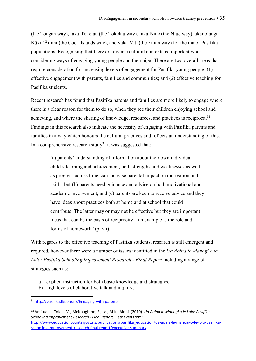(the Tongan way), faka-Tokelau (the Tokelau way), faka-Niue (the Niue way), akano'anga Kūki 'Āirani (the Cook Islands way), and vaka-Viti (the Fijian way) for the major Pasifika populations. Recognising that there are diverse cultural contexts is important when considering ways of engaging young people and their aiga. There are two overall areas that require consideration for increasing levels of engagement for Pasifika young people: (1) effective engagement with parents, families and communities; and (2) effective teaching for Pasifika students.

Recent research has found that Pasifika parents and families are more likely to engage where there is a clear reason for them to do so, when they see their children enjoying school and achieving, and where the sharing of knowledge, resources, and practices is reciprocal<sup>31</sup>. Findings in this research also indicate the necessity of engaging with Pasifika parents and families in a way which honours the cultural practices and reflects an understanding of this. In a comprehensive research study<sup>32</sup> it was suggested that:

> (a) parents' understanding of information about their own individual child's learning and achievement, both strengths and weaknesses as well as progress across time, can increase parental impact on motivation and skills; but (b) parents need guidance and advice on both motivational and academic involvement; and (c) parents are keen to receive advice and they have ideas about practices both at home and at school that could contribute. The latter may or may not be effective but they are important ideas that can be the basis of reciprocity – an example is the role and forms of homework" (p. vii).

With regards to the effective teaching of Pasifika students, research is still emergent and required, however there were a number of issues identified in the *Ua Aoina le Manogi o le Lolo: Pasifika Schooling Improvement Research - Final Report* including a range of strategies such as:

- a) explicit instruction for both basic knowledge and strategies,
- b) high levels of elaborative talk and inquiry,

<sup>-</sup><sup>31</sup> http://pasifika.tki.org.nz/Engaging-with-parents

<sup>32</sup> Amituanai-Toloa, M., McNaughton, S., Lai, M.K., Airini. (2010). *Ua Aoina le Manogi o le Lolo: Pasifika Schooling Improvement Research - Final Report*. Retrieved from: http://www.educationcounts.govt.nz/publications/pasifika\_education/ua-aoina-le-manogi-o-le-lolo-pasifikaschooling-improvement-research-final-report/executive-summary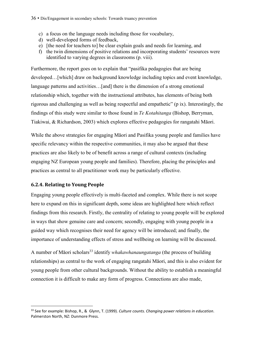- c) a focus on the language needs including those for vocabulary,
- d) well-developed forms of feedback,
- e) [the need for teachers to] be clear explain goals and needs for learning, and
- f) the twin dimensions of positive relations and incorporating students' resources were identified to varying degrees in classrooms (p. viii).

Furthermore, the report goes on to explain that "pasifika pedagogies that are being developed…[which] draw on background knowledge including topics and event knowledge, language patterns and activities...[and] there is the dimension of a strong emotional relationship which, together with the instructional attributes, has elements of being both rigorous and challenging as well as being respectful and empathetic" (p ix). Interestingly, the findings of this study were similar to those found in *Te Kotahitanga* (Bishop, Berryman, Tiakiwai, & Richardson, 2003) which explores effective pedagogies for rangatahi Māori.

While the above strategies for engaging Māori and Pasifika young people and families have specific relevancy within the respective communities, it may also be argued that these practices are also likely to be of benefit across a range of cultural contexts (including engaging NZ European young people and families). Therefore, placing the principles and practices as central to all practitioner work may be particularly effective.

#### **6.2.4. Relating to Young People**

-

Engaging young people effectively is multi-faceted and complex. While there is not scope here to expand on this in significant depth, some ideas are highlighted here which reflect findings from this research. Firstly, the centrality of relating to young people will be explored in ways that show genuine care and concern; secondly, engaging with young people in a guided way which recognises their need for agency will be introduced; and finally, the importance of understanding effects of stress and wellbeing on learning will be discussed.

A number of Māori scholars<sup>33</sup> identify *whakawhanaungatanga* (the process of building relationships) as central to the work of engaging rangatahi Māori, and this is also evident for young people from other cultural backgrounds. Without the ability to establish a meaningful connection it is difficult to make any form of progress. Connections are also made,

<sup>33</sup> See for example: Bishop, R., & Glynn, T. (1999). *Culture counts. Changing power relations in education*. Palmerston North, NZ: Dunmore Press.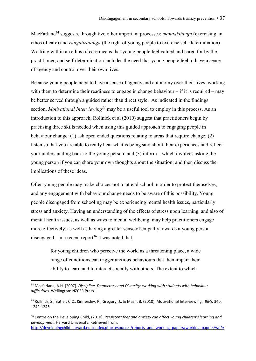MacFarlane<sup>34</sup> suggests, through two other important processes: *manaakitanga* (exercising an ethos of care) and *rangatiratanga* (the right of young people to exercise self-determination). Working within an ethos of care means that young people feel valued and cared for by the practitioner, and self-determination includes the need that young people feel to have a sense of agency and control over their own lives.

Because young people need to have a sense of agency and autonomy over their lives, working with them to determine their readiness to engage in change behaviour – if it is required – may be better served through a guided rather than direct style. As indicated in the findings section, *Motivational Interviewing<sup>35</sup>* may be a useful tool to employ in this process. As an introduction to this approach, Rollnick et al (2010) suggest that practitioners begin by practising three skills needed when using this guided approach to engaging people in behaviour change: (1) ask open ended questions relating to areas that require change; (2) listen so that you are able to really hear what is being said about their experiences and reflect your understanding back to the young person; and (3) inform – which involves asking the young person if you can share your own thoughts about the situation; and then discuss the implications of these ideas.

Often young people may make choices not to attend school in order to protect themselves, and any engagement with behaviour change needs to be aware of this possibility. Young people disengaged from schooling may be experiencing mental health issues, particularly stress and anxiety. Having an understanding of the effects of stress upon learning, and also of mental health issues, as well as ways to mental wellbeing, may help practitioners engage more effectively, as well as having a greater sense of empathy towards a young person disengaged. In a recent report<sup>36</sup> it was noted that:

for young children who perceive the world as a threatening place, a wide range of conditions can trigger anxious behaviours that then impair their ability to learn and to interact socially with others. The extent to which

<u>.</u>

<sup>34</sup> Macfarlane, A.H. (2007). *Discipline, Democracy and Diversity: working with students with behaviour difficulties.* Wellington: NZCER Press.

<sup>35</sup> Rollnick, S., Butler, C.C., Kinnersley, P., Gregory, J., & Mash, B. (2010). Motivational Interviewing. *BMJ,* 340, 1242-1245

<sup>36</sup> Centre on the Developing Child, (2010). *Persistent fear and anxiety can affect young children's learning and development.* Harvard University. Retrieved from: http://developingchild.harvard.edu/index.php/resources/reports\_and\_working\_papers/working\_papers/wp9/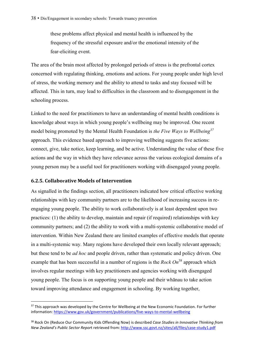these problems affect physical and mental health is influenced by the frequency of the stressful exposure and/or the emotional intensity of the fear-eliciting event.

The area of the brain most affected by prolonged periods of stress is the prefrontal cortex concerned with regulating thinking, emotions and actions. For young people under high level of stress, the working memory and the ability to attend to tasks and stay focused will be affected. This in turn, may lead to difficulties in the classroom and to disengagement in the schooling process.

Linked to the need for practitioners to have an understanding of mental health conditions is knowledge about ways in which young people's wellbeing may be improved. One recent model being promoted by the Mental Health Foundation is *the Five Ways to Wellbeing<sup>37</sup>* approach. This evidence based approach to improving wellbeing suggests five actions: connect, give, take notice, keep learning, and be active. Understanding the value of these five actions and the way in which they have relevance across the various ecological domains of a young person may be a useful tool for practitioners working with disengaged young people.

#### **6.2.5. Collaborative Models of Intervention**

-

As signalled in the findings section, all practitioners indicated how critical effective working relationships with key community partners are to the likelihood of increasing success in reengaging young people. The ability to work collaboratively is at least dependent upon two practices: (1) the ability to develop, maintain and repair (if required) relationships with key community partners; and (2) the ability to work with a multi-systemic collaborative model of intervention. Within New Zealand there are limited examples of effective models that operate in a multi-systemic way. Many regions have developed their own locally relevant approach; but these tend to be *ad hoc* and people driven, rather than systematic and policy driven. One example that has been successful in a number of regions is the *Rock On*<sup>38</sup> approach which involves regular meetings with key practitioners and agencies working with disengaged young people. The focus is on supporting young people and their whānau to take action toward improving attendance and engagement in schooling. By working together,

<sup>&</sup>lt;sup>37</sup> This approach was developed by the Centre for Wellbeing at the New Economic Foundation. For further information: https://www.gov.uk/government/publications/five-ways-to-mental-wellbeing

<sup>38</sup> Rock On (Reduce Our Community Kids Offending Now) is described *Case Studies in Innovative Thinking from New Zealand's Public Sector Repor*t retrieved from: http://www.ssc.govt.nz/sites/all/files/case-study1.pdf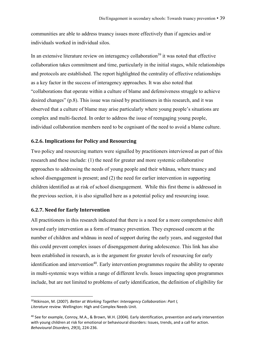communities are able to address truancy issues more effectively than if agencies and/or individuals worked in individual silos.

In an extensive literature review on interagency collaboration<sup>39</sup> it was noted that effective collaboration takes commitment and time, particularly in the initial stages, while relationships and protocols are established. The report highlighted the centrality of effective relationships as a key factor in the success of interagency approaches. It was also noted that "collaborations that operate within a culture of blame and defensiveness struggle to achieve desired changes" (p.8). This issue was raised by practitioners in this research, and it was observed that a culture of blame may arise particularly where young people's situations are complex and multi-faceted. In order to address the issue of reengaging young people, individual collaboration members need to be cognisant of the need to avoid a blame culture.

#### **6.2.6. Implications for Policy and Resourcing**

Two policy and resourcing matters were signalled by practitioners interviewed as part of this research and these include: (1) the need for greater and more systemic collaborative approaches to addressing the needs of young people and their whānau, where truancy and school disengagement is present; and (2) the need for earlier intervention in supporting children identified as at risk of school disengagement. While this first theme is addressed in the previous section, it is also signalled here as a potential policy and resourcing issue.

#### **6.2.7. Need for Early Intervention**

-

All practitioners in this research indicated that there is a need for a more comprehensive shift toward early intervention as a form of truancy prevention. They expressed concern at the number of children and whānau in need of support during the early years, and suggested that this could prevent complex issues of disengagement during adolescence. This link has also been established in research, as is the argument for greater levels of resourcing for early identification and intervention<sup>40</sup>. Early intervention programmes require the ability to operate in multi-systemic ways within a range of different levels. Issues impacting upon programmes include, but are not limited to problems of early identification, the definition of eligibility for

<sup>39</sup>Atkinson, M. (2007). *Better at Working Together: Interagency Collaboration: Part I, Literature review.* Wellington: High and Complex Needs Unit.

<sup>40</sup> See for example, Conroy, M.A., & Brown, W.H. (2004). Early identification, prevention and early intervention with young children at risk for emotional or behavioural disorders: Issues, trends, and a call for action. *Behavioural Disorders, 29*(3), 224-236.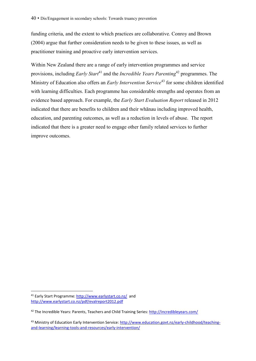funding criteria, and the extent to which practices are collaborative. Conroy and Brown (2004) argue that further consideration needs to be given to these issues, as well as practitioner training and proactive early intervention services.

Within New Zealand there are a range of early intervention programmes and service provisions, including *Early Start*<sup>41</sup> and the *Incredible Years Parenting*<sup>42</sup> programmes. The Ministry of Education also offers an *Early Intervention Service*<sup>43</sup> for some children identified with learning difficulties. Each programme has considerable strengths and operates from an evidence based approach. For example, the *Early Start Evaluation Report* released in 2012 indicated that there are benefits to children and their whānau including improved health, education, and parenting outcomes, as well as a reduction in levels of abuse. The report indicated that there is a greater need to engage other family related services to further improve outcomes.

<u>.</u>

<sup>41</sup> Early Start Programme: http://www.earlystart.co.nz/ and http://www.earlystart.co.nz/pdf/evalreport2012.pdf

<sup>&</sup>lt;sup>42</sup> The Incredible Years: Parents, Teachers and Child Training Series: http://incredibleyears.com/

<sup>43</sup> Ministry of Education Early Intervention Service: http://www.education.govt.nz/early-childhood/teachingand-learning/learning-tools-and-resources/early-intervention/